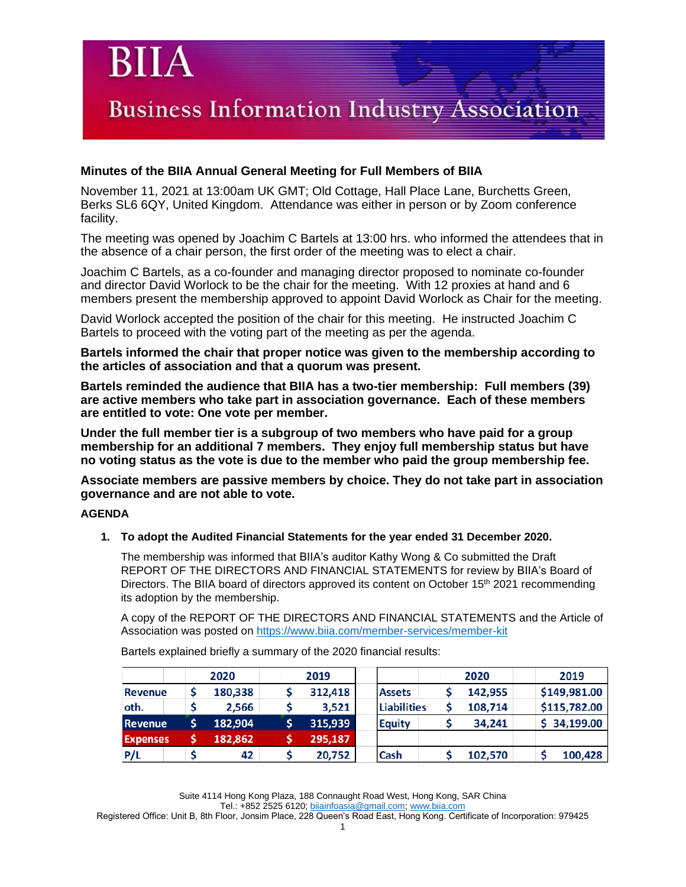### **Minutes of the BIIA Annual General Meeting for Full Members of BIIA**

November 11, 2021 at 13:00am UK GMT; Old Cottage, Hall Place Lane, Burchetts Green, Berks SL6 6QY, United Kingdom. Attendance was either in person or by Zoom conference facility.

The meeting was opened by Joachim C Bartels at 13:00 hrs. who informed the attendees that in the absence of a chair person, the first order of the meeting was to elect a chair.

Joachim C Bartels, as a co-founder and managing director proposed to nominate co-founder and director David Worlock to be the chair for the meeting. With 12 proxies at hand and 6 members present the membership approved to appoint David Worlock as Chair for the meeting.

David Worlock accepted the position of the chair for this meeting. He instructed Joachim C Bartels to proceed with the voting part of the meeting as per the agenda.

**Bartels informed the chair that proper notice was given to the membership according to the articles of association and that a quorum was present.**

**Bartels reminded the audience that BIIA has a two-tier membership: Full members (39) are active members who take part in association governance. Each of these members are entitled to vote: One vote per member.** 

**Under the full member tier is a subgroup of two members who have paid for a group membership for an additional 7 members. They enjoy full membership status but have no voting status as the vote is due to the member who paid the group membership fee.**

**Associate members are passive members by choice. They do not take part in association governance and are not able to vote.**

### **AGENDA**

### **1. To adopt the Audited Financial Statements for the year ended 31 December 2020.**

The membership was informed that BIIA's auditor Kathy Wong & Co submitted the Draft REPORT OF THE DIRECTORS AND FINANCIAL STATEMENTS for review by BIIA's Board of Directors. The BIIA board of directors approved its content on October 15<sup>th</sup> 2021 recommending its adoption by the membership.

A copy of the REPORT OF THE DIRECTORS AND FINANCIAL STATEMENTS and the Article of Association was posted on<https://www.biia.com/member-services/member-kit>

|                 | 2020    |  | 2019    |                    |  | 2020    | 2019         |
|-----------------|---------|--|---------|--------------------|--|---------|--------------|
| Revenue         | 180,338 |  | 312,418 | <b>Assets</b>      |  | 142,955 | \$149,981.00 |
| oth.            | 2,566   |  | 3,521   | <b>Liabilities</b> |  | 108,714 | \$115,782.00 |
| <b>Revenue</b>  | 182,904 |  | 315,939 | <b>Equity</b>      |  | 34,241  | \$34,199.00  |
| <b>Expenses</b> | 182,862 |  | 295,187 |                    |  |         |              |
| P/L             | 42      |  | 20,752  | Cash               |  | 102,570 | 100,428      |

Bartels explained briefly a summary of the 2020 financial results:

Suite 4114 Hong Kong Plaza, 188 Connaught Road West, Hong Kong, SAR China

Tel.: +852 2525 6120; [biiainfoasia@gmail.com;](mailto:biiainfoasia@gmail.com) [www.biia.com](http://www.biia.com/)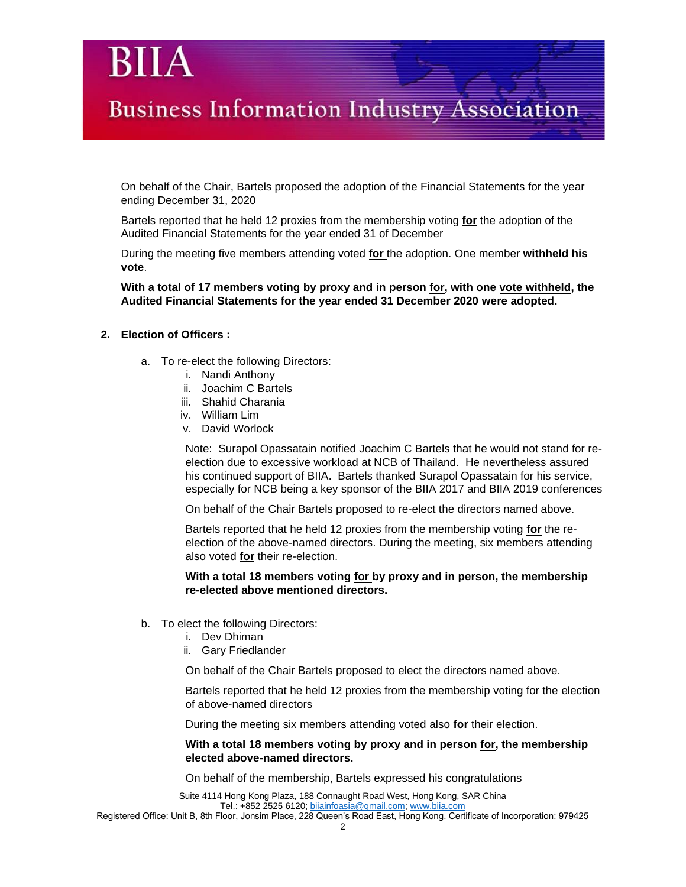On behalf of the Chair, Bartels proposed the adoption of the Financial Statements for the year ending December 31, 2020

Bartels reported that he held 12 proxies from the membership voting **for** the adoption of the Audited Financial Statements for the year ended 31 of December

During the meeting five members attending voted **for** the adoption. One member **withheld his vote**.

**With a total of 17 members voting by proxy and in person for, with one vote withheld, the Audited Financial Statements for the year ended 31 December 2020 were adopted.**

### **2. Election of Officers :**

- a. To re-elect the following Directors:
	- i. Nandi Anthony
	- ii. Joachim C Bartels
	- iii. Shahid Charania
	- iv. William Lim
	- v. David Worlock

Note: Surapol Opassatain notified Joachim C Bartels that he would not stand for reelection due to excessive workload at NCB of Thailand. He nevertheless assured his continued support of BIIA. Bartels thanked Surapol Opassatain for his service, especially for NCB being a key sponsor of the BIIA 2017 and BIIA 2019 conferences

On behalf of the Chair Bartels proposed to re-elect the directors named above.

Bartels reported that he held 12 proxies from the membership voting **for** the reelection of the above-named directors. During the meeting, six members attending also voted **for** their re-election.

### **With a total 18 members voting for by proxy and in person, the membership re-elected above mentioned directors.**

- b. To elect the following Directors:
	- i. Dev Dhiman
	- ii. Gary Friedlander

On behalf of the Chair Bartels proposed to elect the directors named above.

Bartels reported that he held 12 proxies from the membership voting for the election of above-named directors

During the meeting six members attending voted also **for** their election.

### **With a total 18 members voting by proxy and in person for, the membership elected above-named directors.**

On behalf of the membership, Bartels expressed his congratulations

Suite 4114 Hong Kong Plaza, 188 Connaught Road West, Hong Kong, SAR China Tel.: +852 2525 6120; [biiainfoasia@gmail.com;](mailto:biiainfoasia@gmail.com) [www.biia.com](http://www.biia.com/)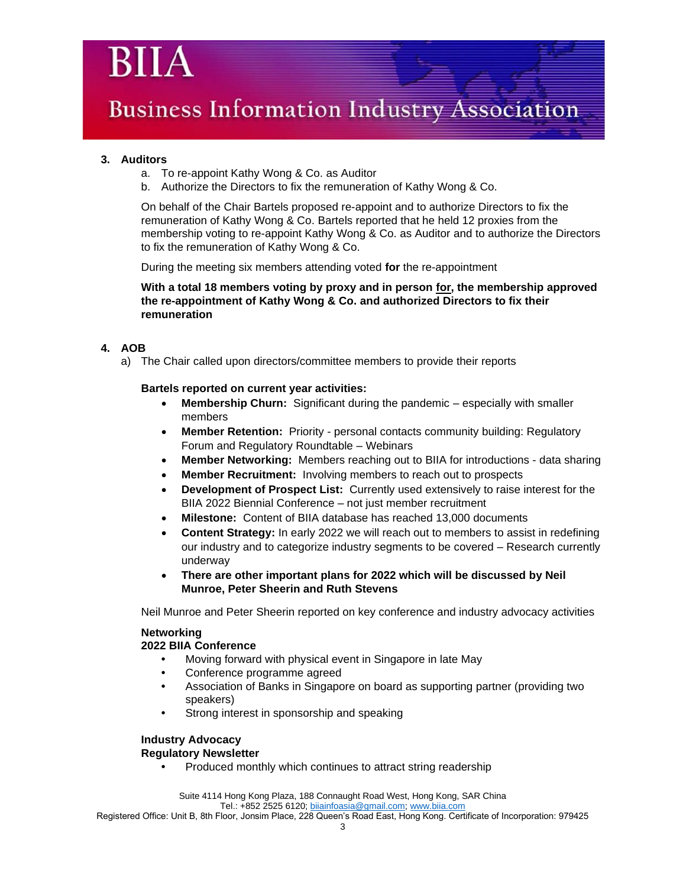### **3. Auditors**

- a. To re-appoint Kathy Wong & Co. as Auditor
- b. Authorize the Directors to fix the remuneration of Kathy Wong & Co.

On behalf of the Chair Bartels proposed re-appoint and to authorize Directors to fix the remuneration of Kathy Wong & Co. Bartels reported that he held 12 proxies from the membership voting to re-appoint Kathy Wong & Co. as Auditor and to authorize the Directors to fix the remuneration of Kathy Wong & Co.

During the meeting six members attending voted **for** the re-appointment

**With a total 18 members voting by proxy and in person for, the membership approved the re-appointment of Kathy Wong & Co. and authorized Directors to fix their remuneration**

### **4. AOB**

a) The Chair called upon directors/committee members to provide their reports

### **Bartels reported on current year activities:**

- **Membership Churn:** Significant during the pandemic especially with smaller members
- **Member Retention:** Priority personal contacts community building: Regulatory Forum and Regulatory Roundtable – Webinars
- **Member Networking:** Members reaching out to BIIA for introductions data sharing
- **Member Recruitment:** Involving members to reach out to prospects
- **Development of Prospect List:** Currently used extensively to raise interest for the BIIA 2022 Biennial Conference – not just member recruitment
- **Milestone:** Content of BIIA database has reached 13,000 documents
- **Content Strategy:** In early 2022 we will reach out to members to assist in redefining our industry and to categorize industry segments to be covered – Research currently underway
- **There are other important plans for 2022 which will be discussed by Neil Munroe, Peter Sheerin and Ruth Stevens**

Neil Munroe and Peter Sheerin reported on key conference and industry advocacy activities

### **Networking**

**2022 BIIA Conference**

- **•** Moving forward with physical event in Singapore in late May
- **•** Conference programme agreed
- **•** Association of Banks in Singapore on board as supporting partner (providing two speakers)
- **•** Strong interest in sponsorship and speaking

### **Industry Advocacy**

### **Regulatory Newsletter**

**•** Produced monthly which continues to attract string readership

Suite 4114 Hong Kong Plaza, 188 Connaught Road West, Hong Kong, SAR China

Tel.: +852 2525 6120; [biiainfoasia@gmail.com;](mailto:biiainfoasia@gmail.com) [www.biia.com](http://www.biia.com/)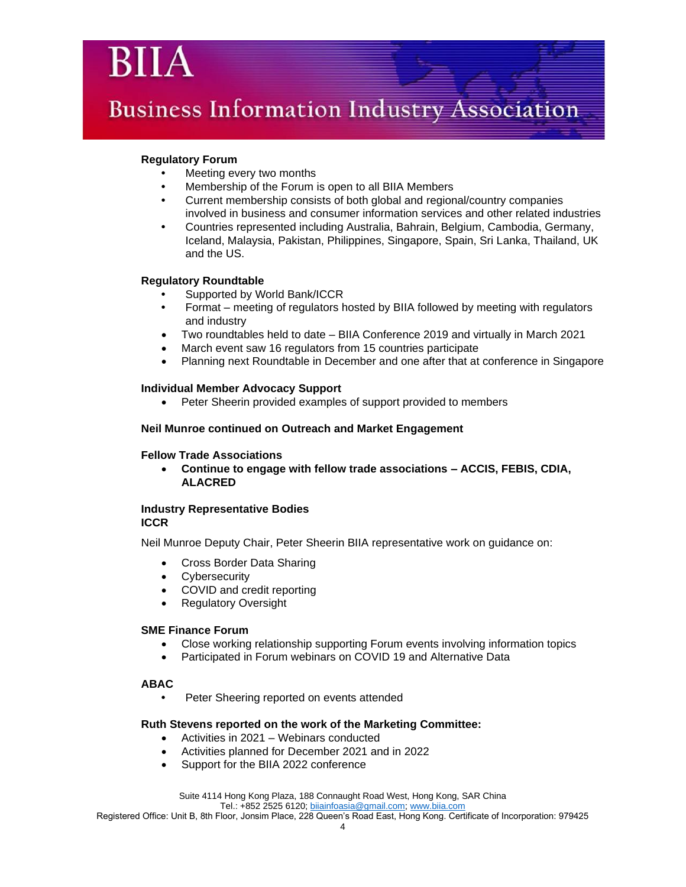### **Regulatory Forum**

- **•** Meeting every two months
- **•** Membership of the Forum is open to all BIIA Members
- **•** Current membership consists of both global and regional/country companies involved in business and consumer information services and other related industries
- **•** Countries represented including Australia, Bahrain, Belgium, Cambodia, Germany, Iceland, Malaysia, Pakistan, Philippines, Singapore, Spain, Sri Lanka, Thailand, UK and the US.

### **Regulatory Roundtable**

- **•** Supported by World Bank/ICCR
- **•** Format meeting of regulators hosted by BIIA followed by meeting with regulators and industry
- Two roundtables held to date BIIA Conference 2019 and virtually in March 2021
- March event saw 16 regulators from 15 countries participate
- Planning next Roundtable in December and one after that at conference in Singapore

### **Individual Member Advocacy Support**

• Peter Sheerin provided examples of support provided to members

### **Neil Munroe continued on Outreach and Market Engagement**

### **Fellow Trade Associations**

• **Continue to engage with fellow trade associations – ACCIS, FEBIS, CDIA, ALACRED**

### **Industry Representative Bodies ICCR**

Neil Munroe Deputy Chair, Peter Sheerin BIIA representative work on guidance on:

- Cross Border Data Sharing
- Cybersecurity
- COVID and credit reporting
- Regulatory Oversight

### **SME Finance Forum**

- Close working relationship supporting Forum events involving information topics
- Participated in Forum webinars on COVID 19 and Alternative Data

### **ABAC**

**•** Peter Sheering reported on events attended

### **Ruth Stevens reported on the work of the Marketing Committee:**

- Activities in 2021 Webinars conducted
- Activities planned for December 2021 and in 2022
- Support for the BIIA 2022 conference

Suite 4114 Hong Kong Plaza, 188 Connaught Road West, Hong Kong, SAR China

Tel.: +852 2525 6120; [biiainfoasia@gmail.com;](mailto:biiainfoasia@gmail.com) [www.biia.com](http://www.biia.com/)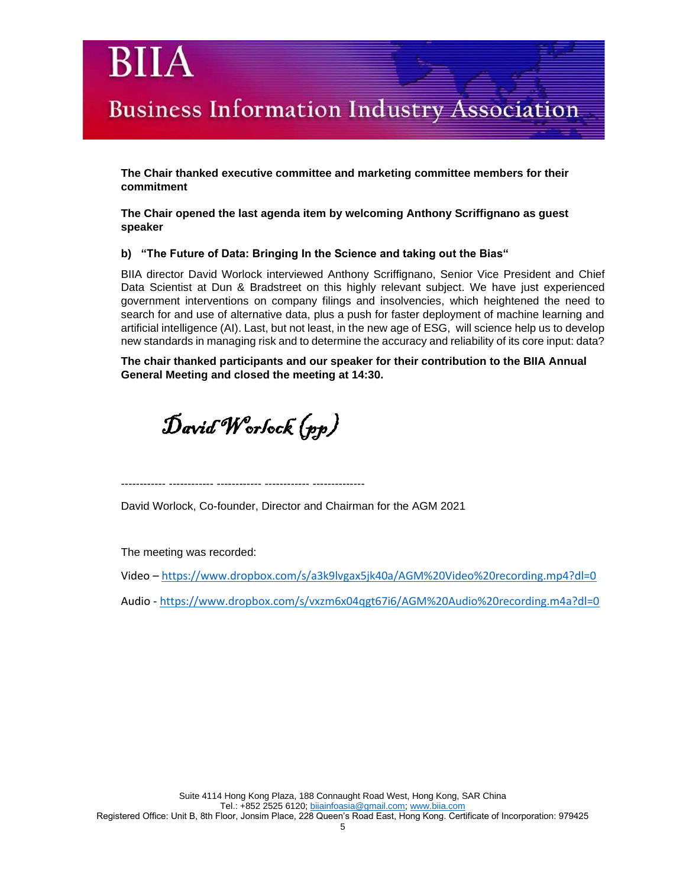**The Chair thanked executive committee and marketing committee members for their commitment**

**The Chair opened the last agenda item by welcoming Anthony Scriffignano as guest speaker**

### **b) "The Future of Data: Bringing In the Science and taking out the Bias"**

BIIA director David Worlock interviewed Anthony Scriffignano, Senior Vice President and Chief Data Scientist at Dun & Bradstreet on this highly relevant subject. We have just experienced government interventions on company filings and insolvencies, which heightened the need to search for and use of alternative data, plus a push for faster deployment of machine learning and artificial intelligence (AI). Last, but not least, in the new age of ESG, will science help us to develop new standards in managing risk and to determine the accuracy and reliability of its core input: data?

**The chair thanked participants and our speaker for their contribution to the BIIA Annual General Meeting and closed the meeting at 14:30.**

David Worlock (pp)

------------ ------------ ------------ ------------ --------------

David Worlock, Co-founder, Director and Chairman for the AGM 2021

The meeting was recorded:

Video – <https://www.dropbox.com/s/a3k9lvgax5jk40a/AGM%20Video%20recording.mp4?dl=0>

Audio - <https://www.dropbox.com/s/vxzm6x04qgt67i6/AGM%20Audio%20recording.m4a?dl=0>